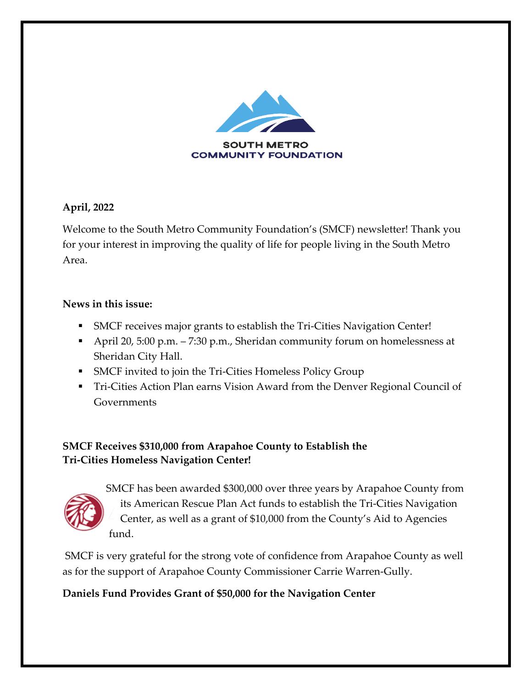

### **April, 2022**

Welcome to the South Metro Community Foundation's (SMCF) newsletter! Thank you for your interest in improving the quality of life for people living in the South Metro Area.

#### **News in this issue:**

- ! SMCF receives major grants to establish the Tri-Cities Navigation Center!
- ! April 20, 5:00 p.m. 7:30 p.m., Sheridan community forum on homelessness at Sheridan City Hall.
- **SMCF** invited to join the Tri-Cities Homeless Policy Group
- ! Tri-Cities Action Plan earns Vision Award from the Denver Regional Council of Governments

# **SMCF Receives \$310,000 from Arapahoe County to Establish the Tri-Cities Homeless Navigation Center!**



SMCF has been awarded \$300,000 over three years by Arapahoe County from its American Rescue Plan Act funds to establish the Tri-Cities Navigation Center, as well as a grant of \$10,000 from the County's Aid to Agencies fund.

SMCF is very grateful for the strong vote of confidence from Arapahoe County as well as for the support of Arapahoe County Commissioner Carrie Warren-Gully.

# **Daniels Fund Provides Grant of \$50,000 for the Navigation Center**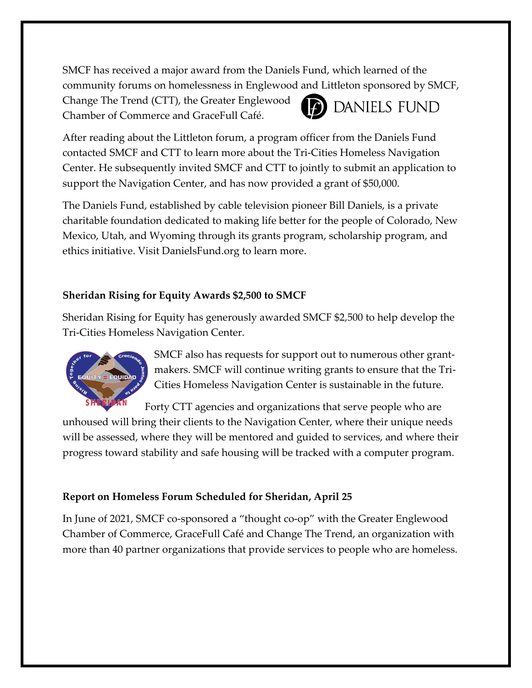SMCF has received a major award from the Daniels Fund, which learned of the community forums on homelessness in Englewood and Littleton sponsored by SMCF,

Change The Trend (CTT), the Greater Englewood Chamber of Commerce and GraceFull Café.



After reading about the Littleton forum, a program officer from the Daniels Fund contacted SMCF and CTT to learn more about the Tri-Cities Homeless Navigation Center. He subsequently invited SMCF and CTT to jointly to submit an application to support the Navigation Center, and has now provided a grant of \$50,000.

The Daniels Fund, established by cable television pioneer Bill Daniels, is a private charitable foundation dedicated to making life better for the people of Colorado, New Mexico, Utah, and Wyoming through its grants program, scholarship program, and ethics initiative. Visit DanielsFund.org to learn more.

### **Sheridan Rising for Equity Awards \$2,500 to SMCF**

Sheridan Rising for Equity has generously awarded SMCF \$2,500 to help develop the Tri-Cities Homeless Navigation Center.



SMCF also has requests for support out to numerous other grantmakers. SMCF will continue writing grants to ensure that the Tri-Cities Homeless Navigation Center is sustainable in the future.

Forty CTT agencies and organizations that serve people who are unhoused will bring their clients to the Navigation Center, where their unique needs will be assessed, where they will be mentored and guided to services, and where their progress toward stability and safe housing will be tracked with a computer program.

# **Report on Homeless Forum Scheduled for Sheridan, April 25**

In June of 2021, SMCF co-sponsored a "thought co-op" with the Greater Englewood Chamber of Commerce, GraceFull Café and Change The Trend, an organization with more than 40 partner organizations that provide services to people who are homeless.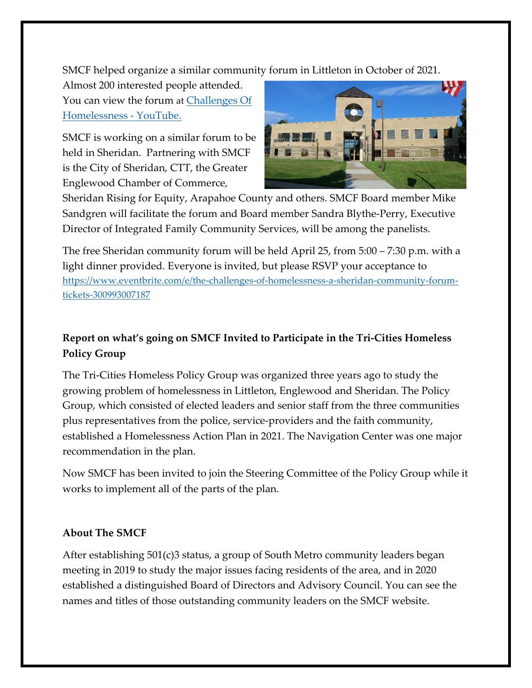SMCF helped organize a similar community forum in Littleton in October of 2021.

Almost 200 interested people attended. You can view the forum at Challenges Of Homelessness - YouTube.

SMCF is working on a similar forum to be held in Sheridan. Partnering with SMCF is the City of Sheridan, CTT, the Greater Englewood Chamber of Commerce,



Sheridan Rising for Equity, Arapahoe County and others. SMCF Board member Mike Sandgren will facilitate the forum and Board member Sandra Blythe-Perry, Executive Director of Integrated Family Community Services, will be among the panelists.

The free Sheridan community forum will be held April 25, from 5:00 – 7:30 p.m. with a light dinner provided. Everyone is invited, but please RSVP your acceptance to https://www.eventbrite.com/e/the-challenges-of-homelessness-a-sheridan-community-forumtickets-300993007187

# **Report on what's going on SMCF Invited to Participate in the Tri-Cities Homeless Policy Group**

The Tri-Cities Homeless Policy Group was organized three years ago to study the growing problem of homelessness in Littleton, Englewood and Sheridan. The Policy Group, which consisted of elected leaders and senior staff from the three communities plus representatives from the police, service-providers and the faith community, established a Homelessness Action Plan in 2021. The Navigation Center was one major recommendation in the plan.

Now SMCF has been invited to join the Steering Committee of the Policy Group while it works to implement all of the parts of the plan.

#### **About The SMCF**

After establishing 501(c)3 status, a group of South Metro community leaders began meeting in 2019 to study the major issues facing residents of the area, and in 2020 established a distinguished Board of Directors and Advisory Council. You can see the names and titles of those outstanding community leaders on the SMCF website.